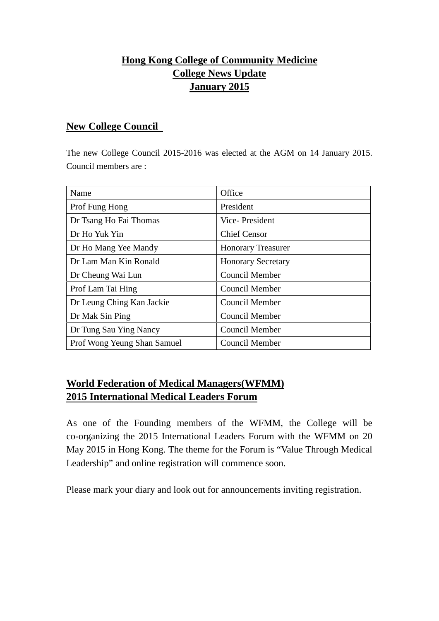# **Hong Kong College of Community Medicine College News Update January 2015**

#### **New College Council**

The new College Council 2015-2016 was elected at the AGM on 14 January 2015. Council members are :

| Name                        | Office                    |
|-----------------------------|---------------------------|
| Prof Fung Hong              | President                 |
| Dr Tsang Ho Fai Thomas      | Vice-President            |
| Dr Ho Yuk Yin               | <b>Chief Censor</b>       |
| Dr Ho Mang Yee Mandy        | <b>Honorary Treasurer</b> |
| Dr Lam Man Kin Ronald       | <b>Honorary Secretary</b> |
| Dr Cheung Wai Lun           | Council Member            |
| Prof Lam Tai Hing           | <b>Council Member</b>     |
| Dr Leung Ching Kan Jackie   | Council Member            |
| Dr Mak Sin Ping             | Council Member            |
| Dr Tung Sau Ying Nancy      | <b>Council Member</b>     |
| Prof Wong Yeung Shan Samuel | <b>Council Member</b>     |

## **World Federation of Medical Managers(WFMM) 2015 International Medical Leaders Forum**

As one of the Founding members of the WFMM, the College will be co-organizing the 2015 International Leaders Forum with the WFMM on 20 May 2015 in Hong Kong. The theme for the Forum is "Value Through Medical Leadership" and online registration will commence soon.

Please mark your diary and look out for announcements inviting registration.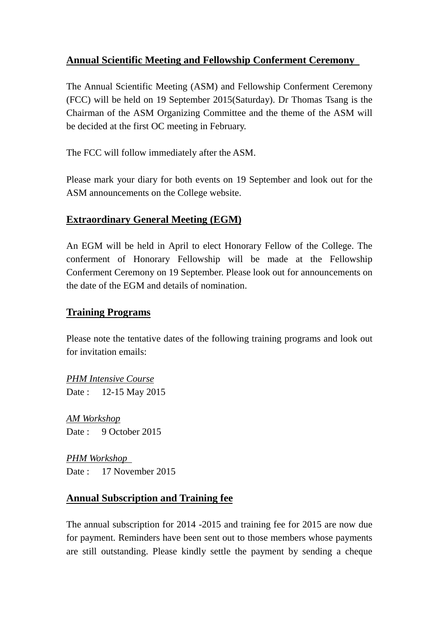### **Annual Scientific Meeting and Fellowship Conferment Ceremony**

The Annual Scientific Meeting (ASM) and Fellowship Conferment Ceremony (FCC) will be held on 19 September 2015(Saturday). Dr Thomas Tsang is the Chairman of the ASM Organizing Committee and the theme of the ASM will be decided at the first OC meeting in February.

The FCC will follow immediately after the ASM.

Please mark your diary for both events on 19 September and look out for the ASM announcements on the College website.

### **Extraordinary General Meeting (EGM)**

An EGM will be held in April to elect Honorary Fellow of the College. The conferment of Honorary Fellowship will be made at the Fellowship Conferment Ceremony on 19 September. Please look out for announcements on the date of the EGM and details of nomination.

### **Training Programs**

Please note the tentative dates of the following training programs and look out for invitation emails:

*PHM Intensive Course* Date : 12-15 May 2015

*AM Workshop* Date : 9 October 2015

*PHM Workshop* Date : 17 November 2015

### **Annual Subscription and Training fee**

The annual subscription for 2014 -2015 and training fee for 2015 are now due for payment. Reminders have been sent out to those members whose payments are still outstanding. Please kindly settle the payment by sending a cheque